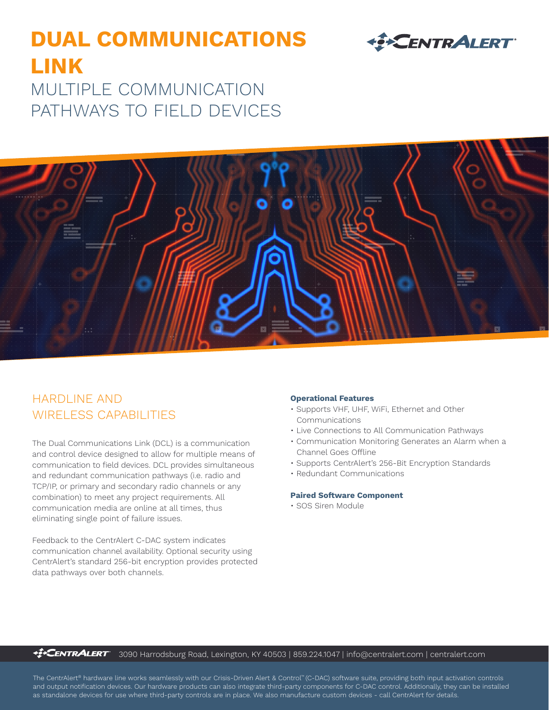# **DUAL COMMUNICATIONS LINK** MULTIPLE COMMUNICATION PATHWAYS TO FIELD DEVICES





# HARDLINE AND WIRELESS CAPABILITIES

The Dual Communications Link (DCL) is a communication and control device designed to allow for multiple means of communication to field devices. DCL provides simultaneous and redundant communication pathways (i.e. radio and TCP/IP, or primary and secondary radio channels or any combination) to meet any project requirements. All communication media are online at all times, thus eliminating single point of failure issues.

Feedback to the CentrAlert C-DAC system indicates communication channel availability. Optional security using CentrAlert's standard 256-bit encryption provides protected data pathways over both channels.

#### **Operational Features**

- Supports VHF, UHF, WiFi, Ethernet and Other Communications
- Live Connections to All Communication Pathways
- Communication Monitoring Generates an Alarm when a Channel Goes Offline
- Supports CentrAlert's 256-Bit Encryption Standards
- Redundant Communications

# **Paired Software Component**

• SOS Siren Module

*<u><sup>42</sup></u>***CENTRALERT** 3090 Harrodsburg Road, Lexington, KY 40503 | 859.224.1047 | info@centralert.com | centralert.com

The CentrAlert® hardware line works seamlessly with our Crisis-Driven Alert & Control™ (C-DAC) software suite, providing both input activation controls and output notification devices. Our hardware products can also integrate third-party components for C-DAC control. Additionally, they can be installed as standalone devices for use where third-party controls are in place. We also manufacture custom devices - call CentrAlert for details.